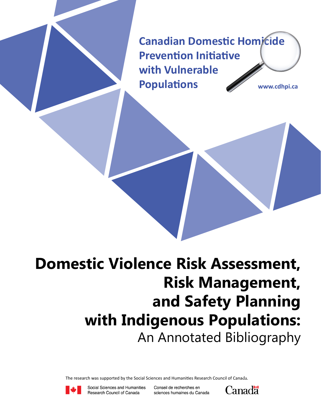**Canadian Domestic Homicide Prevention Initiative with Vulnerable Populations www.cdhpi.ca**

# **Domestic Violence Risk Assessment, Risk Management, and Safety Planning with Indigenous Populations:** An Annotated Bibliography

The research was supported by the Social Sciences and Humanities Research Council of Canada.



Social Sciences and Humanities Research Council of Canada

Conseil de recherches en sciences humaines du Canada

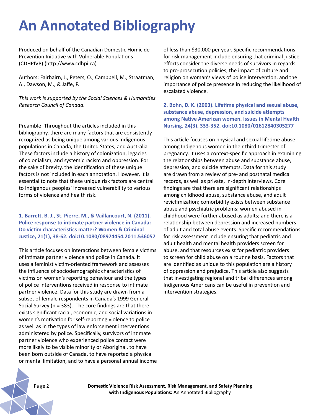## **An Annotated Bibliography**

Produced on behalf of the Canadian Domestic Homicide Prevention Initiative with Vulnerable Populations (CDHPIVP) (http://www.cdhpi.ca)

Authors: Fairbairn, J., Peters, O., Campbell, M., Straatman, A., Dawson, M., & Jaffe, P.

*This work is supported by the Social Sciences & Humanities Research Council of Canada.*

Preamble: Throughout the articles included in this bibliography, there are many factors that are consistently recognized as being unique among various Indigenous populations in Canada, the United States, and Australia. These factors include a history of colonization, legacies of colonialism, and systemic racism and oppression. For the sake of brevity, the identification of these unique factors is not included in each annotation. However, it is essential to note that these unique risk factors are central to Indigenous peoples' increased vulnerability to various forms of violence and health risk.

**1. Barrett, B. J., St. Pierre, M., & Vaillancourt, N. (2011). Police response to intimate partner violence in Canada: Do victim characteristics matter? Women & Criminal Justice, 21(1), 38-62. doi:10.1080/08974454.2011.536057**

This article focuses on interactions between female victims of intimate partner violence and police in Canada. It uses a feminist victim-oriented framework and assesses the influence of sociodemographic characteristics of victims on women's reporting behaviour and the types of police interventions received in response to intimate partner violence. Data for this study are drawn from a subset of female respondents in Canada's 1999 General Social Survey (n = 383). The core findings are that there exists significant racial, economic, and social variations in women's motivation for self-reporting violence to police as well as in the types of law enforcement interventions administered by police. Specifically, survivors of intimate partner violence who experienced police contact were more likely to be visible minority or Aboriginal, to have been born outside of Canada, to have reported a physical or mental limitation, and to have a personal annual income of less than \$30,000 per year. Specific recommendations for risk management include ensuring that criminal justice efforts consider the diverse needs of survivors in regards to pro-prosecution policies, the impact of culture and religion on woman's views of police intervention, and the importance of police presence in reducing the likelihood of escalated violence.

**2. Bohn, D. K. (2003). Lifetime physical and sexual abuse, substance abuse, depression, and suicide attempts among Native American women. Issues in Mental Health Nursing, 24(3), 333-352. doi:10.1080/01612840305277**

This article focuses on physical and sexual lifetime abuse among Indigenous women in their third trimester of pregnancy. It uses a context-specific approach in examining the relationships between abuse and substance abuse, depression, and suicide attempts. Data for this study are drawn from a review of pre- and postnatal medical records, as well as private, in-depth interviews. Core findings are that there are significant relationships among childhood abuse, substance abuse, and adult revictimization; comorbidity exists between substance abuse and psychiatric problems; women abused in childhood were further abused as adults; and there is a relationship between depression and increased numbers of adult and total abuse events. Specific recommendations for risk assessment include ensuring that pediatric and adult health and mental health providers screen for abuse, and that resources exist for pediatric providers to screen for child abuse on a routine basis. Factors that are identified as unique to this population are a history of oppression and prejudice. This article also suggests that investigating regional and tribal differences among Indigenous Americans can be useful in prevention and intervention strategies.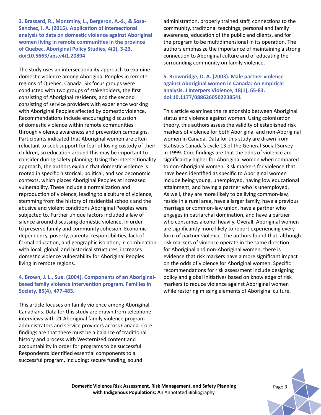**3. Brassard, R., Montminy, L., Bergeron, A.-S., & Sosa-Sanchez, I. A. (2015). Application of intersectional analysis to data on domestic violence against Aboriginal women living in remote communities in the province of Quebec. Aboriginal Policy Studies, 4(1), 3-23. doi:10.5663/aps.v4i1.20894**

The study uses an intersectionality approach to examine domestic violence among Aboriginal Peoples in remote regions of Quebec, Canada. Six focus groups were conducted with two groups of stakeholders, the first consisting of Aboriginal residents, and the second consisting of service providers with experience working with Aboriginal Peoples affected by domestic violence. Recommendations include encouraging discussion of domestic violence within remote communities through violence awareness and prevention campaigns. Participants indicated that Aboriginal women are often reluctant to seek support for fear of losing custody of their children, so education around this may be important to consider during safety planning. Using the intersectionality approach, the authors explain that domestic violence is rooted in specific historical, political, and socioeconomic contexts, which places Aboriginal Peoples at increased vulnerability. These include a normalization and reproduction of violence, leading to a culture of violence, stemming from the history of residential schools and the abusive and violent conditions Aboriginal Peoples were subjected to. Further unique factors included a law of silence around discussing domestic violence, in order to preserve family and community cohesion. Economic dependency, poverty, parental responsibilities, lack of formal education, and geographic isolation, in combination with local, global, and historical structures, increases domestic violence vulnerability for Aboriginal Peoples living in remote regions.

## **4. Brown, J. L., Sue. (2004). Components of an Aboriginalbased family violence intervention program. Families in Society, 85(4), 477-483.**

This article focuses on family violence among Aboriginal Canadians. Data for this study are drawn from telephone interviews with 21 Aboriginal family violence program administrators and service providers across Canada. Core findings are that there must be a balance of traditional history and process with Westernized content and accountability in order for programs to be successful. Respondents identified essential components to a successful program, including: secure funding, sound

administration, properly trained staff, connections to the community, traditional teachings, personal and family awareness, education of the public and clients, and for the program to be multidimensional in its operation. The authors emphasize the importance of maintaining a strong connection to Aboriginal culture and of educating the surrounding community on family violence.

**5. Brownridge, D. A. (2003). Male partner violence against Aboriginal women in Canada: An empirical analysis. J Interpers Violence, 18(1), 65-83. doi:10.1177/0886260502238541**

This article examines the relationship between Aboriginal status and violence against women. Using colonization theory, this authors assess the validity of established risk markers of violence for both Aboriginal and non-Aboriginal women in Canada. Data for this study are drawn from Statistics Canada's cycle 13 of the General Social Survey in 1999. Core findings are that the odds of violence are significantly higher for Aboriginal women when compared to non-Aboriginal women. Risk markers for violence that have been identified as specific to Aboriginal women include being young, unemployed, having low educational attainment, and having a partner who is unemployed. As well, they are more likely to be living common-law, reside in a rural area, have a larger family, have a previous marriage or common-law union, have a partner who engages in patriarchal domination, and have a partner who consumes alcohol heavily. Overall, Aboriginal women are significantly more likely to report experiencing every form of partner violence. The authors found that, although risk markers of violence operate in the same direction for Aboriginal and non-Aboriginal women, there is evidence that risk markers have a more significant impact on the odds of violence for Aboriginal women. Specific recommendations for risk assessment include designing policy and global initiatives based on knowledge of risk markers to reduce violence against Aboriginal women while restoring missing elements of Aboriginal culture.

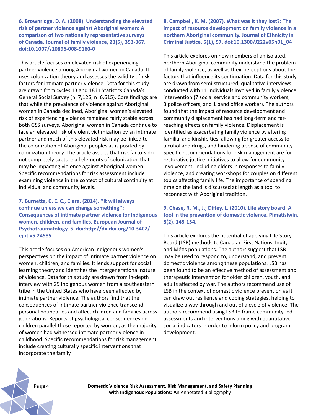**6. Brownridge, D. A. (2008). Understanding the elevated risk of partner violence against Aboriginal women: A comparison of two nationally representative surveys of Canada. Journal of family violence, 23(5), 353-367. doi:10.1007/s10896-008-9160-0**

This article focuses on elevated risk of experiencing partner violence among Aboriginal women in Canada. It uses colonization theory and assesses the validity of risk factors for intimate partner violence. Data for this study are drawn from cycles 13 and 18 in Statistics Canada's General Social Survey (n=7,126; n=6,615). Core findings are that while the prevalence of violence against Aboriginal women in Canada declined, Aboriginal women's elevated risk of experiencing violence remained fairly stable across both GSS surveys. Aboriginal women in Canada continue to face an elevated risk of violent victimization by an intimate partner and much of this elevated risk may be linked to the colonization of Aboriginal peoples as is posited by colonization theory. The article asserts that risk factors do not completely capture all elements of colonization that may be impacting violence against Aboriginal women. Specific recommendations for risk assessment include examining violence in the context of cultural continuity at individual and community levels.

**7. Burnette, C. E. C., Clare. (2014). ''It will always continue unless we can change something'': Consequences of intimate partner violence for Indigenous women, children, and families. European Journal of Psychotraumatology, 5. doi:http://dx.doi.org/10.3402/ ejpt.v5.24585**

This article focuses on American Indigenous women's perspectives on the impact of intimate partner violence on women, children, and families. It lends support for social learning theory and identifies the intergenerational nature of violence. Data for this study are drawn from in-depth interview with 29 Indigenous women from a southeastern tribe in the United States who have been affected by intimate partner violence. The authors find that the consequences of intimate partner violence transcend personal boundaries and affect children and families across generations. Reports of psychological consequences on children parallel those reported by women, as the majority of women had witnessed intimate partner violence in childhood. Specific recommendations for risk management include creating culturally specific interventions that incorporate the family.

**8. Campbell, K. M. (2007). What was it they lost?: The impact of resource development on family violence in a northern Aboriginal community. Journal of Ethnicity in Criminal Justice, 5(1), 57. doi:10.1300/J222v05n01\_04**

This article explores on how members of an isolated, northern Aboriginal community understand the problem of family violence, as well as their perceptions about the factors that influence its continuation. Data for this study are drawn from semi-structured, qualitative interviews conducted with 11 individuals involved in family violence intervention (7 social service and community workers, 3 police officers, and 1 band office worker). The authors found that the impact of resource development and community displacement has had long-term and farreaching effects on family violence. Displacement is identified as exacerbating family violence by altering familial and kinship ties, allowing for greater access to alcohol and drugs, and hindering a sense of community. Specific recommendations for risk management are for restorative justice initiatives to allow for community involvement, including elders in responses to family violence, and creating workshops for couples on different topics affecting family life. The importance of spending time on the land is discussed at length as a tool to reconnect with Aboriginal tradition.

### **9. Chase, R. M., J.; Diffey, L. (2010). Life story board: A tool in the prevention of domestic violence. Pimatisiwin, 8(2), 145-154.**

This article explores the potential of applying Life Story Board (LSB) methods to Canadian First Nations, Inuit, and Métis populations. The authors suggest that LSB may be used to respond to, understand, and prevent domestic violence among these populations. LSB has been found to be an effective method of assessment and therapeutic intervention for older children, youth, and adults affected by war. The authors recommend use of LSB in the context of domestic violence prevention as it can draw out resilience and coping strategies, helping to visualize a way through and out of a cycle of violence. The authors recommend using LSB to frame community-led assessments and interventions along with quantitative social indicators in order to inform policy and program development.

Pa ge 4 **Domestic Violence Risk Assessment, Risk Management, and Safety Planning with Indigenous Populations: A**n Annotated Bibliography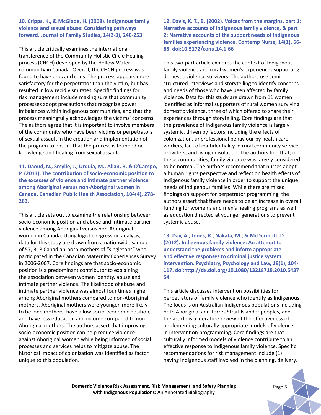**10. Cripps, K., & McGlade, H. (2008). Indigenous family violence and sexual abuse: Considering pathways forward. Journal of Family Studies, 14(2-3), 240-253.** 

This article critically examines the international transference of the Community Holistic Circle Healing process (CHCH) developed by the Hollow Water community in Canada. Overall, the CHCH process was found to have pros and cons. The process appears more satisfactory for the perpetrator than the victim, but has resulted in low recidivism rates. Specific findings for risk management include making sure that community processes adopt precautions that recognize power imbalances within Indigenous communities, and that the process meaningfully acknowledges the victims' concerns. The authors agree that it is important to involve members of the community who have been victims or perpetrators of sexual assault in the creation and implementation of the program to ensure that the process is founded on knowledge and healing from sexual assault.

**11. Daoud, N., Smylie, J., Urquia, M., Allan, B. & O'Campo, P. (2013). The contribution of socio-economic position to the excesses of violence and intimate partner violence among Aboriginal versus non-Aboriginal women in Canada. Canadian Public Health Association, 104(4), 278- 283.** 

This article sets out to examine the relationship between socio-economic position and abuse and intimate partner violence among Aboriginal versus non-Aboriginal women in Canada. Using logistic regression analysis, data for this study are drawn from a nationwide sample of 57, 318 Canadian-born mothers of "singletons" who participated in the Canadian Maternity Experiences Survey in 2006-2007. Core findings are that socio-economic position is a predominant contributor to explaining the association between women identity, abuse and intimate partner violence. The likelihood of abuse and intimate partner violence was almost four times higher among Aboriginal mothers compared to non-Aboriginal mothers. Aboriginal mothers were younger, more likely to be lone mothers, have a low socio-economic position, and have less education and income compared to non-Aboriginal mothers. The authors assert that improving socio-economic position can help reduce violence against Aboriginal women while being informed of social processes and services helps to mitigate abuse. The historical impact of colonization was identified as factor unique to this population.

**12. Davis, K. T., B. (2002). Voices from the margins, part 1: Narrative accounts of Indigenous family violence, & part 2: Narrative accounts of the support needs of Indigenous families experiencing violence. Contemp Nurse, 14(1), 66- 85. doi:10.5172/conu.14.1.66**

This two-part article explores the context of Indigenous family violence and rural women's experiences supporting domestic violence survivors. The authors use semistructured interviews and storytelling to identify concerns and needs of those who have been affected by family violence. Data for this study are drawn from 11 women identified as informal supporters of rural women surviving domestic violence, three of which offered to share their experiences through storytelling. Core findings are that the prevalence of Indigenous family violence is largely systemic, driven by factors including the effects of colonization, unprofessional behaviour by health care workers, lack of confidentiality in rural community service providers, and living in isolation. The authors find that, in these communities, family violence was largely considered to be normal. The authors recommend that nurses adopt a human rights perspective and reflect on health effects of Indigenous family violence in order to support the unique needs of Indigenous families. While there are mixed findings on support for perpetrator programming, the authors assert that there needs to be an increase in overall funding for women's and men's healing programs as well as education directed at younger generations to prevent systemic abuse.

**13. Day, A., Jones, R., Nakata, M., & McDermott, D. (2012). Indigenous family violence: An attempt to understand the problems and inform appropriate and effective responses to criminal justice system intervention. Psychiatry, Psychology and Law, 19(1), 104- 117. doi:http://dx.doi.org/10.1080/13218719.2010.5437 54**

This article discusses intervention possibilities for perpetrators of family violence who identify as Indigenous. The focus is on Australian Indigenous populations including both Aboriginal and Torres Strait Islander peoples, and the article is a literature review of the effectiveness of implementing culturally appropriate models of violence in intervention programming. Core findings are that culturally informed models of violence contribute to an effective response to Indigenous family violence. Specific recommendations for risk management include (1) having Indigenous staff involved in the planning, delivery,

**Domestic Violence Risk Assessment, Risk Management, and Safety Planning** *Page 5* **with Indigenous Populations: A**n Annotated Bibliography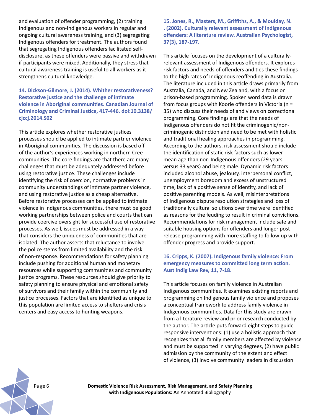and evaluation of offender programming, (2) training Indigenous and non-Indigenous workers in regular and ongoing cultural awareness training, and (3) segregating Indigenous offenders for treatment. The authors found that segregating Indigenous offenders facilitated selfdisclosure, as these offenders were passive and withdrawn if participants were mixed. Additionally, they stress that cultural awareness training is useful to all workers as it strengthens cultural knowledge.

**14. Dickson-Gilmore, J. (2014). Whither restorativeness? Restorative justice and the challenge of intimate violence in Aboriginal communities. Canadian Journal of Criminology and Criminal Justice, 417-446. doi:10.3138/ cjccj.2014.S02**

This article explores whether restorative justices processes should be applied to intimate partner violence in Aboriginal communities. The discussion is based off of the author's experiences working in northern Cree communities. The core findings are that there are many challenges that must be adequately addressed before using restorative justice. These challenges include identifying the risk of coercion, normative problems in community understandings of intimate partner violence, and using restorative justice as a cheap alternative. Before restorative processes can be applied to intimate violence in Indigenous communities, there must be good working partnerships between police and courts that can provide coercive oversight for successful use of restorative processes. As well, issues must be addressed in a way that considers the uniqueness of communities that are isolated. The author asserts that reluctance to involve the police stems from limited availability and the risk of non-response. Recommendations for safety planning include pushing for additional human and monetary resources while supporting communities and community justice programs. These resources should give priority to safety planning to ensure physical and emotional safety of survivors and their family within the community and justice processes. Factors that are identified as unique to this population are limited access to shelters and crisis centers and easy access to hunting weapons.

**15. Jones, R., Masters, M., Griffiths, A., & Moulday, N. . (2002). Culturally relevant assessment of Indigenous offenders: A literature review. Australian Psychologist, 37(3), 187-197.** 

This article focuses on the development of a culturallyrelevant assessment of Indigenous offenders. It explores risk factors and needs of offenders and ties these findings to the high rates of Indigenous reoffending in Australia. The literature included in this article draws primarily from Australia, Canada, and New Zealand, with a focus on prison-based programming. Spoken word data is drawn from focus groups with Koorie offenders in Victoria (n = 35) who discuss their needs of and views on correctional programming. Core findings are that the needs of Indigenous offenders do not fit the criminogenic/noncriminogenic distinction and need to be met with holistic and traditional healing approaches in programming. According to the authors, risk assessment should include the identification of static risk factors such as lower mean age than non-Indigenous offenders (29 years versus 33 years) and being male. Dynamic risk factors included alcohol abuse, jealousy, interpersonal conflict, unemployment boredom and excess of unstructured time, lack of a positive sense of identity, and lack of positive parenting models. As well, misinterpretations of Indigenous dispute resolution strategies and loss of traditionally cultural solutions over time were identified as reasons for the feuding to result in criminal convictions. Recommendations for risk management include safe and suitable housing options for offenders and longer postrelease programming with more staffing to follow-up with offender progress and provide support.

#### **16. Cripps, K. (2007). Indigenous family violence: From emergency measures to committed long term action. Aust Indig Law Rev, 11, 7-18.**

This article focuses on family violence in Australian Indigenous communities. It examines existing reports and programming on Indigenous family violence and proposes a conceptual framework to address family violence in Indigenous communities. Data for this study are drawn from a literature review and prior research conducted by the author. The article puts forward eight steps to guide responsive interventions: (1) use a holistic approach that recognizes that all family members are affected by violence and must be supported in varying degrees, (2) have public admission by the community of the extent and effect of violence, (3) involve community leaders in discussion

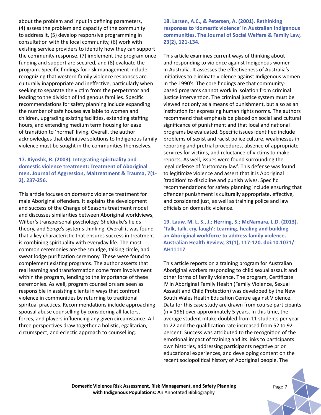about the problem and input in defining parameters, (4) assess the problem and capacity of the community to address it, (5) develop responsive programming in consultation with the local community, (6) work with existing service providers to identify how they can support the community response, (7) implement the program once funding and support are secured, and (8) evaluate the program. Specific findings for risk management include recognizing that western family violence responses are culturally inappropriate and ineffective, particularly when seeking to separate the victim from the perpetrator and leading to the division of Indigenous families. Specific recommendations for safety planning include expanding the number of safe houses available to women and children, upgrading existing facilities, extending staffing hours, and extending medium term housing for ease of transition to 'normal' living. Overall, the author acknowledges that definitive solutions to Indigenous family violence must be sought in the communities themselves.

## **17. Kiyoshk, R. (2003). Integrating spirituality and domestic violence treatment: Treatment of Aboriginal men. Journal of Aggression, Maltreatment & Trauma, 7(1- 2), 237-256.**

This article focuses on domestic violence treatment for male Aboriginal offenders. It explains the development and success of the Change of Seasons treatment model and discusses similarities between Aboriginal worldviews, Wilber's transpersonal psychology, Sheldrake's fields theory, and Senge's systems thinking. Overall it was found that a key characteristic that ensures success in treatment is combining spirituality with everyday life. The most common ceremonies are the smudge, talking circle, and sweat lodge purification ceremony. These were found to complement existing programs. The author asserts that real learning and transformation come from involvement within the program, lending to the importance of these ceremonies. As well, program counsellors are seen as responsible in assisting clients in ways that confront violence in communities by returning to traditional spiritual practices. Recommendations include approaching spousal abuse counselling by considering all factors, forces, and players influencing any given circumstance. All three perspectives draw together a holistic, egalitarian, circumspect, and eclectic approach to counselling.

**18. Larsen, A.C., & Petersen, A. (2001). Rethinking responses to 'domestic violence' in Australian Indigenous communities. The Journal of Social Welfare & Family Law, 23(2), 121-134.**

This article examines current ways of thinking about and responding to violence against Indigenous women in Australia. It assesses the effectiveness of Australia's initiatives to eliminate violence against Indigenous women in the 1990's. The core findings are that communitybased programs cannot work in isolation from criminal justice intervention. The criminal justice system must be viewed not only as a means of punishment, but also as an institution for expressing human rights norms. The authors recommend that emphasis be placed on social and cultural significance of punishment and that local and national programs be evaluated. Specific issues identified include problems of sexist and racist police culture, weaknesses in reporting and pretrial procedures, absence of appropriate services for victims, and reluctance of victims to make reports. As well, issues were found surrounding the legal defense of 'customary law'. This defense was found to legitimize violence and assert that it is Aboriginal 'tradition' to discipline and punish wives. Specific recommendations for safety planning include ensuring that offender punishment is culturally appropriate, effective, and considered just, as well as training police and law officials on domestic violence.

**19. Lauw, M. L. S., J.; Herring, S.; McNamara, L.D. (2013). 'Talk, talk, cry, laugh': Learning, healing and building an Aboriginal workforce to address family violence. Australian Health Review, 31(1), 117-120. doi:10.1071/ AH11117**

This article reports on a training program for Australian Aboriginal workers responding to child sexual assault and other forms of family violence. The program, Certificate IV in Aboriginal Family Health (Family Violence, Sexual Assault and Child Protection) was developed by the New South Wales Health Education Centre against Violence. Data for this case study are drawn from course participants (n = 196) over approximately 5 years. In this time, the average student intake doubled from 11 students per year to 22 and the qualification rate increased from 52 to 92 percent. Success was attributed to the recognition of the emotional impact of training and its links to participants own histories, addressing participants negative prior educational experiences, and developing content on the recent sociopolitical history of Aboriginal people. The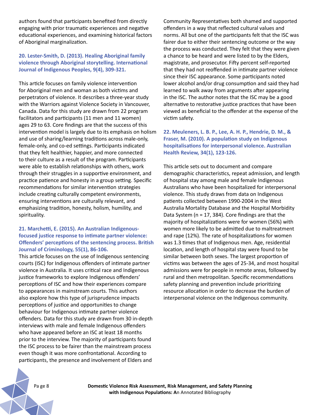authors found that participants benefited from directly engaging with prior traumatic experiences and negative educational experiences, and examining historical factors of Aboriginal marginalization.

#### **20. Lester-Smith, D. (2013). Healing Aboriginal family violence through Aboriginal storytelling. International Journal of Indigenous Peoples, 9(4), 309-321.**

This article focuses on family violence intervention for Aboriginal men and woman as both victims and perpetrators of violence. It describes a three-year study with the Warriors against Violence Society in Vancouver, Canada. Data for this study are drawn from 22 program facilitators and participants (11 men and 11 women) ages 29 to 63. Core findings are that the success of this intervention model is largely due to its emphasis on holism and use of sharing/learning traditions across male-only, female-only, and co-ed settings. Participants indicated that they felt healthier, happier, and more connected to their culture as a result of the program. Participants were able to establish relationships with others, work through their struggles in a supportive environment, and practice patience and honesty in a group setting. Specific recommendations for similar intervention strategies include creating culturally competent environments, ensuring interventions are culturally relevant, and emphasizing tradition, honesty, holism, humility, and spirituality.

#### **21. Marchetti, E. (2015). An Australian Indigenousfocused justice response to intimate partner violence: Offenders' perceptions of the sentencing process. British Journal of Criminology, 55(1), 86-106.**

This article focuses on the use of Indigenous sentencing courts (ISC) for Indigenous offenders of intimate partner violence in Australia. It uses critical race and Indigenous justice frameworks to explore Indigenous offenders' perceptions of ISC and how their experiences compare to appearances in mainstream courts. This authors also explore how this type of jurisprudence impacts perceptions of justice and opportunities to change behaviour for Indigenous intimate partner violence offenders. Data for this study are drawn from 30 in-depth interviews with male and female Indigenous offenders who have appeared before an ISC at least 18 months prior to the interview. The majority of participants found the ISC process to be fairer than the mainstream process even though it was more confrontational. According to participants, the presence and involvement of Elders and

Community Representatives both shamed and supported offenders in a way that reflected cultural values and norms. All but one of the participants felt that the ISC was fairer due to either their sentencing outcome or the way the process was conducted. They felt that they were given a chance to be heard and were listed to by the Elders, magistrate, and prosecutor. Fifty percent self-reported that they had not reoffended in intimate partner violence since their ISC appearance. Some participants noted lower alcohol and/or drug consumption and said they had learned to walk away from arguments after appearing in the ISC. The author notes that the ISC may be a good alternative to restorative justice practices that have been viewed as beneficial to the offender at the expense of the victim safety.

**22. Meuleners, L. B. P., Lee, A. H. P., Hendrie, D. M., & Fraser, M. (2010). A population study on Indigenous hospitalisations for interpersonal violence. Australian Health Review, 34(1), 123-126.** 

This article sets out to document and compare demographic characteristics, repeat admission, and length of hospital stay among male and female Indigenous Australians who have been hospitalized for interpersonal violence. This study draws from data on Indigenous patients collected between 1990-2004 in the West Australia Mortality Database and the Hospital Morbidity Data System (n = 17, 384). Core findings are that the majority of hospitalizations were for women (56%) with women more likely to be admitted due to maltreatment and rape (12%). The rate of hospitalizations for women was 1.3 times that of Indigenous men. Age, residential location, and length of hospital stay were found to be similar between both sexes. The largest proportion of victims was between the ages of 25-34, and most hospital admissions were for people in remote areas, followed by rural and then metropolitan. Specific recommendations safety planning and prevention include prioritizing resource allocation in order to decrease the burden of interpersonal violence on the Indigenous community.

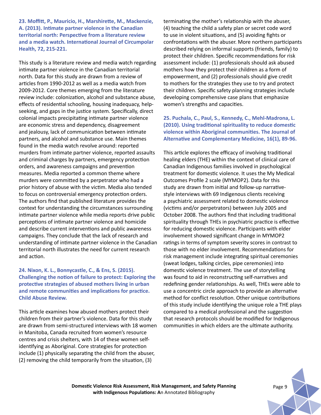**23. Moffitt, P., Mauricio, H., Marshirette, M., Mackenzie, A. (2013). Intimate partner violence in the Canadian territorial north: Perspective from a literature review and a media watch. International Journal of Circumpolar Health, 72, 215-221.** 

This study is a literature review and media watch regarding intimate partner violence in the Canadian territorial north. Data for this study are drawn from a review of articles from 1990-2012 as well as a media watch from 2009-2012. Core themes emerging from the literature review include: colonization, alcohol and substance abuse, effects of residential schooling, housing inadequacy, helpseeking, and gaps in the justice system. Specifically, direct colonial impacts precipitating intimate partner violence are economic stress and dependency, disagreement and jealousy, lack of communication between intimate partners, and alcohol and substance use. Main themes found in the media watch revolve around: reported murders from intimate partner violence, reported assaults and criminal charges by partners, emergency protection orders, and awareness campaigns and prevention measures. Media reported a common theme where murders were committed by a perpetrator who had a prior history of abuse with the victim. Media also tended to focus on controversial emergency protection orders. The authors find that published literature provides the context for understanding the circumstances surrounding intimate partner violence while media reports drive public perceptions of intimate partner violence and homicide and describe current interventions and public awareness campaigns. They conclude that the lack of research and understanding of intimate partner violence in the Canadian territorial north illustrates the need for current research and action.

#### **24. Nixon, K. L., Bonnycastle, C., & Ens, S. (2015). Challenging the notion of failure to protect: Exploring the protective strategies of abused mothers living in urban and remote communities and implications for practice. Child Abuse Review.**

This article examines how abused mothers protect their children from their partner's violence. Data for this study are drawn from semi-structured interviews with 18 women in Manitoba, Canada recruited from women's resource centres and crisis shelters, with 14 of these women selfidentifying as Aboriginal. Core strategies for protection include (1) physically separating the child from the abuser, (2) removing the child temporarily from the situation, (3)

terminating the mother's relationship with the abuser, (4) teaching the child a safety plan or secret code word to use in violent situations, and (5) avoiding fights or confrontations with the abuser. More northern participants described relying on informal supports (friends, family) to protect their children. Specific recommendations for risk assessment include: (1) professionals should ask abused mothers how they protect their children as a form of empowerment, and (2) professionals should give credit to mothers for the strategies they use to try and protect their children. Specific safety planning strategies include developing comprehensive case plans that emphasize women's strengths and capacities.

#### **25. Puchala, C., Paul, S., Kennedy, C., Mehl-Madrona, L. (2010). Using traditional spirituality to reduce domestic violence within Aboriginal communities. The Journal of Alternative and Complementary Medicine, 16(1), 89-96.**

This article explores the efficacy of involving traditional healing elders (THE) within the context of clinical care of Canadian Indigenous families involved in psychological treatment for domestic violence. It uses the My Medical Outcomes Profile 2 scale (MYMOP2). Data for this study are drawn from initial and follow-up narrativestyle interviews with 69 Indigenous clients receiving a psychiatric assessment related to domestic violence (victims and/or perpetrators) between July 2005 and October 2008. The authors find that including traditional spirituality through THEs in psychiatric practice is effective for reducing domestic violence. Participants with elder involvement showed significant change in MYMOP2 ratings in terms of symptom severity scores in contrast to those with no elder involvement. Recommendations for risk management include integrating spiritual ceremonies (sweat lodges, talking circles, pipe ceremonies) into domestic violence treatment. The use of storytelling was found to aid in reconstructing self-narratives and redefining gender relationships. As well, THEs were able to use a concentric circle approach to provide an alternative method for conflict resolution. Other unique contributions of this study include identifying the unique role a THE plays compared to a medical professional and the suggestion that research protocols should be modified for Indigenous communities in which elders are the ultimate authority.



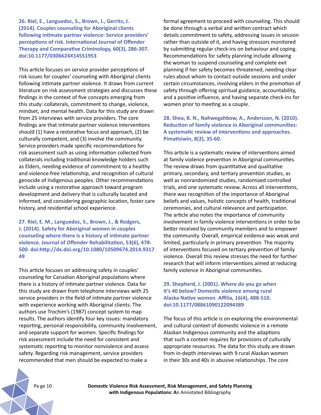**26. Riel, E., Languedoc, S., Brown, J., Gerrits, J. (2014). Couples counseling for Aboriginal clients following intimate partner violence: Service providers' perceptions of risk. International Journal of Offender Therapy and Comparative Criminology, 60(3), 286-307. doi:10.1177/0306624X14551953**

This article focuses on service provider perceptions of risk issues for couples' counseling with Aboriginal clients following intimate partner violence. It draws from current literature on risk assessment strategies and discusses these findings in the context of five concepts emerging from this study: collaterals, commitment to change, violence, mindset, and mental health. Data for this study are drawn from 25 interviews with service providers. The core findings are that intimate partner violence interventions should (1) have a restorative focus and approach, (2) be culturally competent, and (3) involve the community. Service providers made specific recommendations for risk assessment such as using information collected from collaterals including traditional knowledge holders such as Elders, needing evidence of commitment to a healthy and violence-free relationship, and recognition of cultural genocide of Indigenous peoples. Other recommendations include using a restorative approach toward program development and delivery that is culturally located and informed, and considering geographic location, foster care history, and residential school experience.

**27. Riel, E. M., Languedoc, S., Brown, J., & Rodgers, J. (2014). Safety for Aboriginal women in couples counseling where there is a history of intimate partner violence. Journal of Offender Rehabilitation, 53(6), 478- 500. doi:http://dx.doi.org/10.1080/10509674.2014.9317 49**

This article focuses on addressing safety in couples' counseling for Canadian Aboriginal populations where there is a history of intimate partner violence. Data for this study are drawn from telephone interviews with 25 service providers in the field of intimate partner violence with experience working with Aboriginal clients. The authors use Trochim's (1987) concept system to map results. The authors identify four key issues: mandatory reporting, personal responsibility, community involvement, and separate support for women. Specific findings for risk assessment include the need for consistent and systematic reporting to monitor nonviolence and assess safety. Regarding risk management, service providers recommended that men should be expected to make a

formal agreement to proceed with counseling. This should be done through a verbal and written contract which details commitment to safety, addressing issues in session rather than outside of it, and having stressors monitored by submitting regular check-ins on behaviour and coping. Recommendations for safety planning include allowing the woman to suspend counseling and complete exit planning if her safety becomes threatened, needing clear rules about whom to contact outside sessions and under certain circumstances, involving elders in the promotion of safety through offering spiritual guidance, accountability, and a positive influence, and having separate check-ins for women prior to meeting as a couple.

**28. Shea, B. N., Nahwegahbow, A., Andersson, N. (2010). Reduction of family violence in Aboriginal communities: A systematic review of interventions and approaches. Pimatisiwin, 8(2), 35-60.** 

This article is a systematic review of interventions aimed at family violence prevention in Aboriginal communities. The review draws from quantitative and qualitative primary, secondary, and tertiary prevention studies, as well as nonrandomized studies, randomized controlled trials, and one systematic review. Across all interventions, there was recognition of the importance of Aboriginal beliefs and values, holistic concepts of health, traditional ceremonies, and cultural relevance and participation. The article also notes the importance of community involvement in family violence interventions in order to be better received by community members and to empower the community. Overall, empirical evidence was weak and limited, particularly in primary prevention. The majority of interventions focused on tertiary prevention of family violence. Overall this review stresses the need for further research that will inform interventions aimed at reducing family violence in Aboriginal communities.

**29. Shepherd, J. (2001). Where do you go when it's 40 below? Domestic violence among rural Alaska Native women. Affilia, 16(4), 488-510. doi:10.1177/08861090122094389**

The focus of this article is on exploring the environmental and cultural context of domestic violence in a remote Alaskan Indigenous community and the adaptions that such a context requires for provisions of culturally appropriate resources. The data for this study are drawn from in-depth interviews with 9 rural Alaskan women in their 30s and 40s in abusive relationships. The core

Pa ge 10 **Domestic Violence Risk Assessment, Risk Management, and Safety Planning with Indigenous Populations: A**n Annotated Bibliography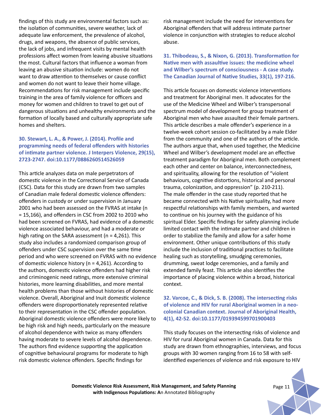findings of this study are environmental factors such as: the isolation of communities, severe weather, lack of adequate law enforcement, the prevalence of alcohol, drugs, and weapons, the absence of public services, the lack of jobs, and infrequent visits by mental health professions affect women from leaving abusive situations the most. Cultural factors that influence a woman from leaving an abusive situation include: women do not want to draw attention to themselves or cause conflict and women do not want to leave their home village. Recommendations for risk management include specific training in the area of family violence for officers and money for women and children to travel to get out of dangerous situations and unhealthy environments and the formation of locally based and culturally appropriate safe homes and shelters.

### **30. Stewart, L. A., & Power, J. (2014). Profile and programming needs of federal offenders with histories of intimate partner violence. J Interpers Violence, 29(15), 2723-2747. doi:10.1177/0886260514526059**

This article analyzes data on male perpetrators of domestic violence in the Correctional Service of Canada (CSC). Data for this study are drawn from two samples of Canadian male federal domestic violence offenders: offenders in custody or under supervision in January 2001 who had been assessed on the FVRAS at intake (n = 15,166), and offenders in CSC from 2002 to 2010 who had been screened on FVRAS, had evidence of a domestic violence associated behaviour, and had a moderate or high rating on the SARA assessment ( $n = 4,261$ ). This study also includes a randomized comparison group of offenders under CSC supervision over the same time period and who were screened on FVRAS with no evidence of domestic violence history (n = 4,261). According to the authors, domestic violence offenders had higher risk and criminogenic need ratings, more extensive criminal histories, more learning disabilities, and more mental health problems than those without histories of domestic violence. Overall, Aboriginal and Inuit domestic violence offenders were disproportionately represented relative to their representation in the CSC offender population. Aboriginal domestic violence offenders were more likely to be high risk and high needs, particularly on the measure of alcohol dependence with twice as many offenders having moderate to severe levels of alcohol dependence. The authors find evidence supporting the application of cognitive behavioural programs for moderate to high risk domestic violence offenders. Specific findings for

risk management include the need for interventions for Aboriginal offenders that will address intimate partner violence in conjunction with strategies to reduce alcohol abuse.

**31. Thibodeau, S., & Nixon, G. (2013). Transformation for Native men with assaultive issues: the medicine wheel and Wilber's spectrum of consciousness - A case study. The Canadian Journal of Native Studies, 33(1), 197-216.** 

This article focuses on domestic violence interventions and treatment for Aboriginal men. It advocates for the use of the Medicine Wheel and Wilber's transpersonal spectrum model of development for group treatment of Aboriginal men who have assaulted their female partners. This article describes a male offender's experience in a twelve-week cohort session co-facilitated by a male Elder from the community and one of the authors of the article. The authors argue that, when used together, the Medicine Wheel and Wilber's development model are an effective treatment paradigm for Aboriginal men. Both complement each other and center on balance, interconnectedness, and spirituality, allowing for the resolution of "violent behaviours, cognitive distortions, historical and personal trauma, colonization, and oppression" (p. 210-211). The male offender in the case study reported that he became connected with his Native spirituality, had more respectful relationships with family members, and wanted to continue on his journey with the guidance of his spiritual Elder. Specific findings for safety planning include limited contact with the intimate partner and children in order to stabilize the family and allow for a safer home environment. Other unique contributions of this study include the inclusion of traditional practices to facilitate healing such as storytelling, smudging ceremonies, drumming, sweat lodge ceremonies, and a family and extended family feast. This article also identifies the importance of placing violence within a broad, historical context.

#### **32. Varcoe, C., & Dick, S. B. (2008). The intersecting risks of violence and HIV for rural Aboriginal women in a neocolonial Canadian context. Journal of Aboriginal Health, 4(1), 42-52. doi:10.1177/019394599701900403**

This study focuses on the intersecting risks of violence and HIV for rural Aboriginal women in Canada. Data for this study are drawn from ethnographies, interviews, and focus groups with 30 women ranging from 16 to 58 with selfidentified experiences of violence and risk exposure to HIV

**Domestic Violence Risk Assessment, Risk Management, and Safety Planning** *Page 11* **with Indigenous Populations: A**n Annotated Bibliography